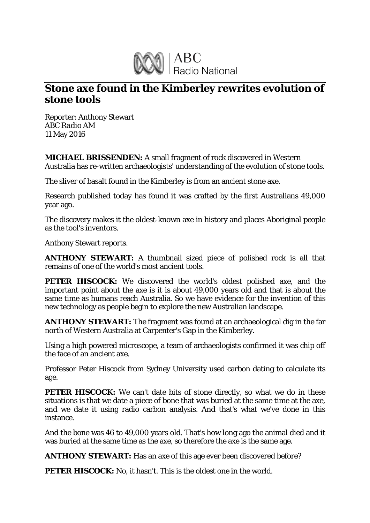

## **Stone axe found in the Kimberley rewrites evolution of stone tools**

Reporter: Anthony Stewart *ABC Radio AM* 11 May 2016

**MICHAEL BRISSENDEN:** A small fragment of rock discovered in Western Australia has re-written archaeologists' understanding of the evolution of stone tools.

The sliver of basalt found in the Kimberley is from an ancient stone axe.

Research published today has found it was crafted by the first Australians 49,000 year ago.

The discovery makes it the oldest-known axe in history and places Aboriginal people as the tool's inventors.

Anthony Stewart reports.

**ANTHONY STEWART:** A thumbnail sized piece of polished rock is all that remains of one of the world's most ancient tools.

**PETER HISCOCK:** We discovered the world's oldest polished axe, and the important point about the axe is it is about 49,000 years old and that is about the same time as humans reach Australia. So we have evidence for the invention of this new technology as people begin to explore the new Australian landscape.

**ANTHONY STEWART:** The fragment was found at an archaeological dig in the far north of Western Australia at Carpenter's Gap in the Kimberley.

Using a high powered microscope, a team of archaeologists confirmed it was chip off the face of an ancient axe.

Professor Peter Hiscock from Sydney University used carbon dating to calculate its age.

**PETER HISCOCK:** We can't date bits of stone directly, so what we do in these situations is that we date a piece of bone that was buried at the same time at the axe, and we date it using radio carbon analysis. And that's what we've done in this instance.

And the bone was 46 to 49,000 years old. That's how long ago the animal died and it was buried at the same time as the axe, so therefore the axe is the same age.

**ANTHONY STEWART:** Has an axe of this age ever been discovered before?

**PETER HISCOCK:** No. it hasn't. This is the oldest one in the world.